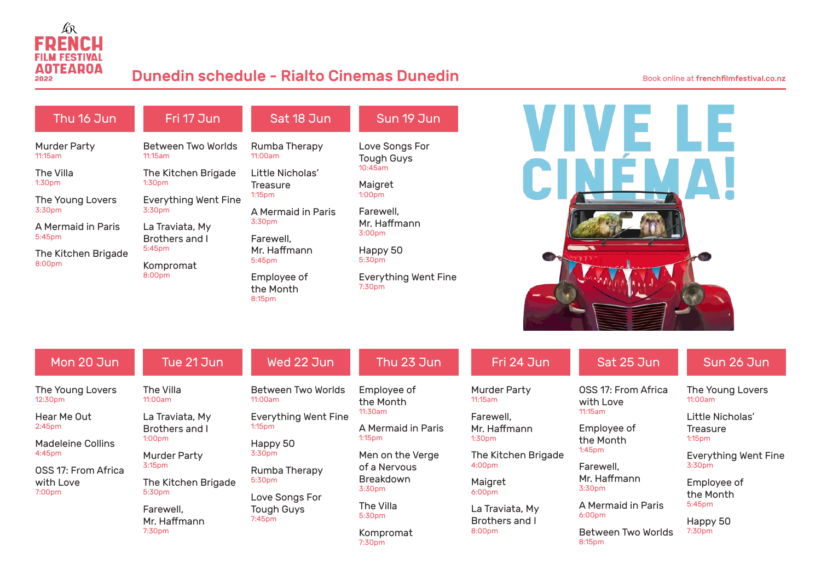

## Dunedin schedule - Rialto Cinemas Dunedin Book online at frenchfilmfestival.co.nz

| Thu 16 Jun                                | Fri 17 Jun                            | Sat 18 Jun               | Sun 19 Jun                                     |  |
|-------------------------------------------|---------------------------------------|--------------------------|------------------------------------------------|--|
| <b>Murder Party</b><br>11:15am            | Between Two Worlds<br>11:15am         | Rumba Therapy<br>11:00am | Love Songs For<br><b>Tough Guys</b><br>10:45am |  |
| The Villa                                 | The Kitchen Brigade                   | Little Nicholas'         |                                                |  |
| 1:30 <sub>pm</sub>                        | 1:30 <sub>pm</sub>                    | Treasure                 | Maigret<br>1:00 <sub>pm</sub>                  |  |
| The Young Lovers                          | <b>Everything Went Fine</b><br>3:30pm | 1:15 <sub>pm</sub>       |                                                |  |
| 3:30 <sub>pm</sub>                        |                                       | A Mermaid in Paris       | Farewell.                                      |  |
| A Mermaid in Paris<br>5:45 <sub>pm</sub>  | La Traviata, My<br>Brothers and I     | 3:30pm                   | Mr. Haffmann<br>3:00 <sub>pm</sub>             |  |
|                                           |                                       | Farewell.                |                                                |  |
| The Kitchen Brigade<br>8:00 <sub>pm</sub> | 5:45 <sub>pm</sub>                    | Mr. Haffmann             | Happy 50                                       |  |
|                                           | Kompromat<br>8:00pm                   | 5:45pm                   | 5:30pm                                         |  |
|                                           |                                       | Employee of              | <b>Everything Went Fine</b><br>7:30pm          |  |
|                                           |                                       | the Month<br>8:15pm      |                                                |  |



| Mon 20 Jun                                                           | Tue 21 Jun                                                  | Wed 22 Jun                                                   | Thu 23 Jun                                                   | Fri 24 Jun                                                | Sat 25 Jun                                     | Sun 26 Jun                                                           |
|----------------------------------------------------------------------|-------------------------------------------------------------|--------------------------------------------------------------|--------------------------------------------------------------|-----------------------------------------------------------|------------------------------------------------|----------------------------------------------------------------------|
| The Young Lovers<br>12:30 <sub>pm</sub><br>Hear Me Out               | The Villa<br>11:00am<br>La Traviata, My                     | Between Two Worlds<br>11:00am<br><b>Everything Went Fine</b> | Employee of<br>the Month<br>11:30am                          | <b>Murder Party</b><br>11:15am<br>Farewell,               | OSS 17: From Africa<br>with Love<br>11:15am    | The Young Lovers<br>11:00am<br>Little Nicholas'                      |
| 2:45 <sub>pm</sub><br><b>Madeleine Collins</b><br>4:45 <sub>pm</sub> | Brothers and I<br>1:00 <sub>pm</sub><br><b>Murder Party</b> | 1:15 <sub>pm</sub><br>Happy 50<br>3:30 <sub>pm</sub>         | A Mermaid in Paris<br>1:15 <sub>pm</sub><br>Men on the Verge | Mr. Haffmann<br>1:30 <sub>pm</sub><br>The Kitchen Brigade | Employee of<br>the Month<br>1:45 <sub>pm</sub> | <b>Treasure</b><br>1:15 <sub>pm</sub><br><b>Everything Went Fine</b> |
| OSS 17: From Africa                                                  | 3:15 <sub>pm</sub>                                          | Rumba Therapy                                                | of a Nervous                                                 | 4:00 <sub>pm</sub>                                        | Farewell,                                      | 3:30 <sub>pm</sub>                                                   |
| with Love<br>7:00 <sub>pm</sub>                                      | The Kitchen Brigade<br>5:30pm                               | 5:30 <sub>pm</sub><br>Love Songs For                         | Breakdown<br>3:30 <sub>pm</sub>                              | Maigret<br>6:00 <sub>pm</sub>                             | Mr. Haffmann<br>3:30pm                         | Employee of<br>the Month                                             |
|                                                                      | Farewell,<br>Mr. Haffmann<br>7:30 <sub>pm</sub>             | <b>Tough Guys</b><br>7:45pm                                  | The Villa<br>5:30pm                                          | La Traviata, My<br>Brothers and I<br>8:00pm               | A Mermaid in Paris<br>6:00 <sub>pm</sub>       | 5:45pm<br>Happy 50<br>7:30pm                                         |
|                                                                      |                                                             |                                                              | Kompromat<br>7:30 <sub>pm</sub>                              |                                                           | Between Two Worlds<br>8:15pm                   |                                                                      |